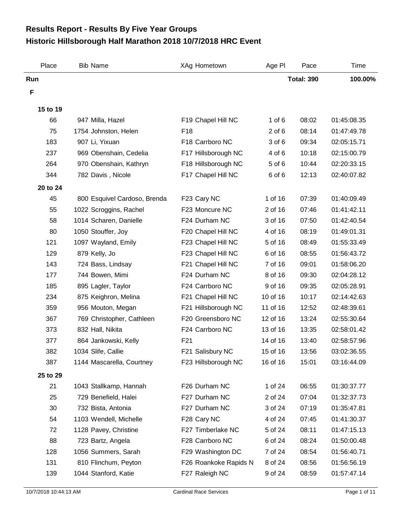## **Historic Hillsborough Half Marathon 2018 10/7/2018 HRC Event Results Report - Results By Five Year Groups**

| Place    | <b>Bib Name</b>              | XAg Hometown          | Age PI     | Pace              | Time        |
|----------|------------------------------|-----------------------|------------|-------------------|-------------|
| Run      |                              |                       |            | <b>Total: 390</b> | 100.00%     |
| F        |                              |                       |            |                   |             |
| 15 to 19 |                              |                       |            |                   |             |
| 66       | 947 Milla, Hazel             | F19 Chapel Hill NC    | $1$ of $6$ | 08:02             | 01:45:08.35 |
| 75       | 1754 Johnston, Helen         | F <sub>18</sub>       | $2$ of $6$ | 08:14             | 01:47:49.78 |
| 183      | 907 Li, Yixuan               | F18 Carrboro NC       | 3 of 6     | 09:34             | 02:05:15.71 |
| 237      | 969 Obenshain, Cedelia       | F17 Hillsborough NC   | 4 of 6     | 10:18             | 02:15:00.79 |
| 264      | 970 Obenshain, Kathryn       | F18 Hillsborough NC   | 5 of 6     | 10:44             | 02:20:33.15 |
| 344      | 782 Davis, Nicole            | F17 Chapel Hill NC    | 6 of 6     | 12:13             | 02:40:07.82 |
| 20 to 24 |                              |                       |            |                   |             |
| 45       | 800 Esquivel Cardoso, Brenda | F23 Cary NC           | 1 of 16    | 07:39             | 01:40:09.49 |
| 55       | 1022 Scroggins, Rachel       | F23 Moncure NC        | 2 of 16    | 07:46             | 01:41:42.11 |
| 58       | 1014 Scharen, Danielle       | F24 Durham NC         | 3 of 16    | 07:50             | 01:42:40.54 |
| 80       | 1050 Stouffer, Joy           | F20 Chapel Hill NC    | 4 of 16    | 08:19             | 01:49:01.31 |
| 121      | 1097 Wayland, Emily          | F23 Chapel Hill NC    | 5 of 16    | 08:49             | 01:55:33.49 |
| 129      | 879 Kelly, Jo                | F23 Chapel Hill NC    | 6 of 16    | 08:55             | 01:56:43.72 |
| 143      | 724 Bass, Lindsay            | F21 Chapel Hill NC    | 7 of 16    | 09:01             | 01:58:06.20 |
| 177      | 744 Bowen, Mimi              | F24 Durham NC         | 8 of 16    | 09:30             | 02:04:28.12 |
| 185      | 895 Lagler, Taylor           | F24 Carrboro NC       | 9 of 16    | 09:35             | 02:05:28.91 |
| 234      | 875 Keighron, Melina         | F21 Chapel Hill NC    | 10 of 16   | 10:17             | 02:14:42.63 |
| 359      | 956 Mouton, Megan            | F21 Hillsborough NC   | 11 of 16   | 12:52             | 02:48:39.61 |
| 367      | 769 Christopher, Cathleen    | F20 Greensboro NC     | 12 of 16   | 13:24             | 02:55:30.64 |
| 373      | 832 Hall, Nikita             | F24 Carrboro NC       | 13 of 16   | 13:35             | 02:58:01.42 |
| 377      | 864 Jankowski, Kelly         | F <sub>21</sub>       | 14 of 16   | 13:40             | 02:58:57.96 |
| 382      | 1034 Slife, Callie           | F21 Salisbury NC      | 15 of 16   | 13:56             | 03:02:36.55 |
| 387      | 1144 Mascarella, Courtney    | F23 Hillsborough NC   | 16 of 16   | 15:01             | 03:16:44.09 |
| 25 to 29 |                              |                       |            |                   |             |
| 21       | 1043 Stallkamp, Hannah       | F26 Durham NC         | 1 of 24    | 06:55             | 01:30:37.77 |
| 25       | 729 Benefield, Halei         | F27 Durham NC         | 2 of 24    | 07:04             | 01:32:37.73 |
| 30       | 732 Bista, Antonia           | F27 Durham NC         | 3 of 24    | 07:19             | 01:35:47.81 |
| 54       | 1103 Wendell, Michelle       | F28 Cary NC           | 4 of 24    | 07:45             | 01:41:30.37 |
| 72       | 1128 Pavey, Christine        | F27 Timberlake NC     | 5 of 24    | 08:11             | 01:47:15.13 |
| 88       | 723 Bartz, Angela            | F28 Carrboro NC       | 6 of 24    | 08:24             | 01:50:00.48 |
| 128      | 1056 Summers, Sarah          | F29 Washington DC     | 7 of 24    | 08:54             | 01:56:40.71 |
| 131      | 810 Flinchum, Peyton         | F26 Roankoke Rapids N | 8 of 24    | 08:56             | 01:56:56.19 |
| 139      | 1044 Stanford, Katie         | F27 Raleigh NC        | 9 of 24    | 08:59             | 01:57:47.14 |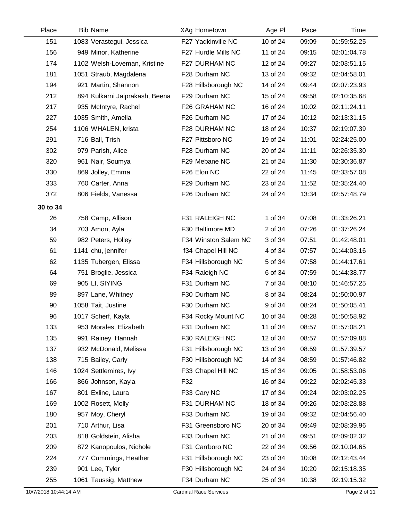| Place    | <b>Bib Name</b>                | XAg Hometown         | Age PI   | Pace  | Time        |
|----------|--------------------------------|----------------------|----------|-------|-------------|
| 151      | 1083 Verastegui, Jessica       | F27 Yadkinville NC   | 10 of 24 | 09:09 | 01:59:52.25 |
| 156      | 949 Minor, Katherine           | F27 Hurdle Mills NC  | 11 of 24 | 09:15 | 02:01:04.78 |
| 174      | 1102 Welsh-Loveman, Kristine   | F27 DURHAM NC        | 12 of 24 | 09:27 | 02:03:51.15 |
| 181      | 1051 Straub, Magdalena         | F28 Durham NC        | 13 of 24 | 09:32 | 02:04:58.01 |
| 194      | 921 Martin, Shannon            | F28 Hillsborough NC  | 14 of 24 | 09:44 | 02:07:23.93 |
| 212      | 894 Kulkarni Jaiprakash, Beena | F29 Durham NC        | 15 of 24 | 09:58 | 02:10:35.68 |
| 217      | 935 McIntyre, Rachel           | F26 GRAHAM NC        | 16 of 24 | 10:02 | 02:11:24.11 |
| 227      | 1035 Smith, Amelia             | F26 Durham NC        | 17 of 24 | 10:12 | 02:13:31.15 |
| 254      | 1106 WHALEN, krista            | F28 DURHAM NC        | 18 of 24 | 10:37 | 02:19:07.39 |
| 291      | 716 Ball, Trish                | F27 Pittsboro NC     | 19 of 24 | 11:01 | 02:24:25.00 |
| 302      | 979 Parish, Alice              | F28 Durham NC        | 20 of 24 | 11:11 | 02:26:35.30 |
| 320      | 961 Nair, Soumya               | F29 Mebane NC        | 21 of 24 | 11:30 | 02:30:36.87 |
| 330      | 869 Jolley, Emma               | F26 Elon NC          | 22 of 24 | 11:45 | 02:33:57.08 |
| 333      | 760 Carter, Anna               | F29 Durham NC        | 23 of 24 | 11:52 | 02:35:24.40 |
| 372      | 806 Fields, Vanessa            | F26 Durham NC        | 24 of 24 | 13:34 | 02:57:48.79 |
| 30 to 34 |                                |                      |          |       |             |
| 26       | 758 Camp, Allison              | F31 RALEIGH NC       | 1 of 34  | 07:08 | 01:33:26.21 |
| 34       | 703 Amon, Ayla                 | F30 Baltimore MD     | 2 of 34  | 07:26 | 01:37:26.24 |
| 59       | 982 Peters, Holley             | F34 Winston Salem NC | 3 of 34  | 07:51 | 01:42:48.01 |
| 61       | 1141 chu, jennifer             | f34 Chapel Hill NC   | 4 of 34  | 07:57 | 01:44:03.16 |
| 62       | 1135 Tubergen, Elissa          | F34 Hillsborough NC  | 5 of 34  | 07:58 | 01:44:17.61 |
| 64       | 751 Broglie, Jessica           | F34 Raleigh NC       | 6 of 34  | 07:59 | 01:44:38.77 |
| 69       | 905 LI, SIYING                 | F31 Durham NC        | 7 of 34  | 08:10 | 01:46:57.25 |
| 89       | 897 Lane, Whitney              | F30 Durham NC        | 8 of 34  | 08:24 | 01:50:00.97 |
| 90       | 1058 Tait, Justine             | F30 Durham NC        | 9 of 34  | 08:24 | 01:50:05.41 |
| 96       | 1017 Scherf, Kayla             | F34 Rocky Mount NC   | 10 of 34 | 08:28 | 01:50:58.92 |
| 133      | 953 Morales, Elizabeth         | F31 Durham NC        | 11 of 34 | 08:57 | 01:57:08.21 |
| 135      | 991 Rainey, Hannah             | F30 RALEIGH NC       | 12 of 34 | 08:57 | 01:57:09.88 |
| 137      | 932 McDonald, Melissa          | F31 Hillsborough NC  | 13 of 34 | 08:59 | 01:57:39.57 |
| 138      | 715 Bailey, Carly              | F30 Hillsborough NC  | 14 of 34 | 08:59 | 01:57:46.82 |
| 146      | 1024 Settlemires, Ivy          | F33 Chapel Hill NC   | 15 of 34 | 09:05 | 01:58:53.06 |
| 166      | 866 Johnson, Kayla             | F32                  | 16 of 34 | 09:22 | 02:02:45.33 |
| 167      | 801 Exline, Laura              | F33 Cary NC          | 17 of 34 | 09:24 | 02:03:02.25 |
| 169      | 1002 Rosett, Molly             | F31 DURHAM NC        | 18 of 34 | 09:26 | 02:03:28.88 |
| 180      | 957 Moy, Cheryl                | F33 Durham NC        | 19 of 34 | 09:32 | 02:04:56.40 |
| 201      | 710 Arthur, Lisa               | F31 Greensboro NC    | 20 of 34 | 09:49 | 02:08:39.96 |
| 203      | 818 Goldstein, Alisha          | F33 Durham NC        | 21 of 34 | 09:51 | 02:09:02.32 |
| 209      | 872 Kanopoulos, Nichole        | F31 Carrboro NC      | 22 of 34 | 09:56 | 02:10:04.65 |
| 224      | 777 Cummings, Heather          | F31 Hillsborough NC  | 23 of 34 | 10:08 | 02:12:43.44 |
| 239      | 901 Lee, Tyler                 | F30 Hillsborough NC  | 24 of 34 | 10:20 | 02:15:18.35 |
| 255      | 1061 Taussig, Matthew          | F34 Durham NC        | 25 of 34 | 10:38 | 02:19:15.32 |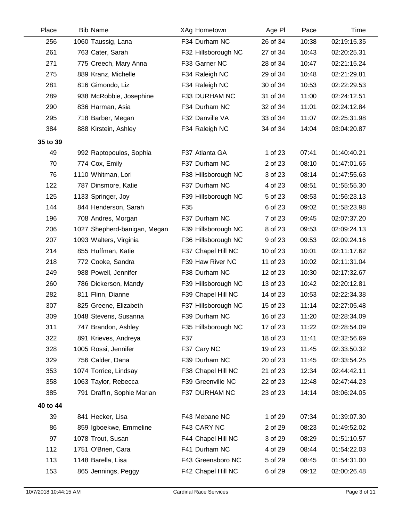| Place    | <b>Bib Name</b>              | XAg Hometown        | Age PI   | Pace  | Time        |
|----------|------------------------------|---------------------|----------|-------|-------------|
| 256      | 1060 Taussig, Lana           | F34 Durham NC       | 26 of 34 | 10:38 | 02:19:15.35 |
| 261      | 763 Cater, Sarah             | F32 Hillsborough NC | 27 of 34 | 10:43 | 02:20:25.31 |
| 271      | 775 Creech, Mary Anna        | F33 Garner NC       | 28 of 34 | 10:47 | 02:21:15.24 |
| 275      | 889 Kranz, Michelle          | F34 Raleigh NC      | 29 of 34 | 10:48 | 02:21:29.81 |
| 281      | 816 Gimondo, Liz             | F34 Raleigh NC      | 30 of 34 | 10:53 | 02:22:29.53 |
| 289      | 938 McRobbie, Josephine      | F33 DURHAM NC       | 31 of 34 | 11:00 | 02:24:12.51 |
| 290      | 836 Harman, Asia             | F34 Durham NC       | 32 of 34 | 11:01 | 02:24:12.84 |
| 295      | 718 Barber, Megan            | F32 Danville VA     | 33 of 34 | 11:07 | 02:25:31.98 |
| 384      | 888 Kirstein, Ashley         | F34 Raleigh NC      | 34 of 34 | 14:04 | 03:04:20.87 |
| 35 to 39 |                              |                     |          |       |             |
| 49       | 992 Raptopoulos, Sophia      | F37 Atlanta GA      | 1 of 23  | 07:41 | 01:40:40.21 |
| 70       | 774 Cox, Emily               | F37 Durham NC       | 2 of 23  | 08:10 | 01:47:01.65 |
| 76       | 1110 Whitman, Lori           | F38 Hillsborough NC | 3 of 23  | 08:14 | 01:47:55.63 |
| 122      | 787 Dinsmore, Katie          | F37 Durham NC       | 4 of 23  | 08:51 | 01:55:55.30 |
| 125      | 1133 Springer, Joy           | F39 Hillsborough NC | 5 of 23  | 08:53 | 01:56:23.13 |
| 144      | 844 Henderson, Sarah         | F35                 | 6 of 23  | 09:02 | 01:58:23.98 |
| 196      | 708 Andres, Morgan           | F37 Durham NC       | 7 of 23  | 09:45 | 02:07:37.20 |
| 206      | 1027 Shepherd-banigan, Megan | F39 Hillsborough NC | 8 of 23  | 09:53 | 02:09:24.13 |
| 207      | 1093 Walters, Virginia       | F36 Hillsborough NC | 9 of 23  | 09:53 | 02:09:24.16 |
| 214      | 855 Huffman, Katie           | F37 Chapel Hill NC  | 10 of 23 | 10:01 | 02:11:17.62 |
| 218      | 772 Cooke, Sandra            | F39 Haw River NC    | 11 of 23 | 10:02 | 02:11:31.04 |
| 249      | 988 Powell, Jennifer         | F38 Durham NC       | 12 of 23 | 10:30 | 02:17:32.67 |
| 260      | 786 Dickerson, Mandy         | F39 Hillsborough NC | 13 of 23 | 10:42 | 02:20:12.81 |
| 282      | 811 Flinn, Dianne            | F39 Chapel Hill NC  | 14 of 23 | 10:53 | 02:22:34.38 |
| 307      | 825 Greene, Elizabeth        | F37 Hillsborough NC | 15 of 23 | 11:14 | 02:27:05.48 |
| 309      | 1048 Stevens, Susanna        | F39 Durham NC       | 16 of 23 | 11:20 | 02:28:34.09 |
| 311      | 747 Brandon, Ashley          | F35 Hillsborough NC | 17 of 23 | 11:22 | 02:28:54.09 |
| 322      | 891 Krieves, Andreya         | F37                 | 18 of 23 | 11:41 | 02:32:56.69 |
| 328      | 1005 Rossi, Jennifer         | F37 Cary NC         | 19 of 23 | 11:45 | 02:33:50.32 |
| 329      | 756 Calder, Dana             | F39 Durham NC       | 20 of 23 | 11:45 | 02:33:54.25 |
| 353      | 1074 Torrice, Lindsay        | F38 Chapel Hill NC  | 21 of 23 | 12:34 | 02:44:42.11 |
| 358      | 1063 Taylor, Rebecca         | F39 Greenville NC   | 22 of 23 | 12:48 | 02:47:44.23 |
| 385      | 791 Draffin, Sophie Marian   | F37 DURHAM NC       | 23 of 23 | 14:14 | 03:06:24.05 |
| 40 to 44 |                              |                     |          |       |             |
| 39       | 841 Hecker, Lisa             | F43 Mebane NC       | 1 of 29  | 07:34 | 01:39:07.30 |
| 86       | 859 Igboekwe, Emmeline       | F43 CARY NC         | 2 of 29  | 08:23 | 01:49:52.02 |
| 97       | 1078 Trout, Susan            | F44 Chapel Hill NC  | 3 of 29  | 08:29 | 01:51:10.57 |
| 112      | 1751 O'Brien, Cara           | F41 Durham NC       | 4 of 29  | 08:44 | 01:54:22.03 |
| 113      | 1148 Barella, Lisa           | F43 Greensboro NC   | 5 of 29  | 08:45 | 01:54:31.00 |
| 153      | 865 Jennings, Peggy          | F42 Chapel Hill NC  | 6 of 29  | 09:12 | 02:00:26.48 |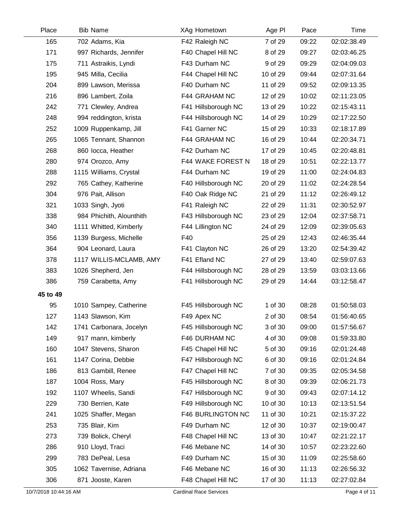| Place    | <b>Bib Name</b>          | XAg Hometown        | Age PI   | Pace  | Time        |
|----------|--------------------------|---------------------|----------|-------|-------------|
| 165      | 702 Adams, Kia           | F42 Raleigh NC      | 7 of 29  | 09:22 | 02:02:38.49 |
| 171      | 997 Richards, Jennifer   | F40 Chapel Hill NC  | 8 of 29  | 09:27 | 02:03:46.25 |
| 175      | 711 Astraikis, Lyndi     | F43 Durham NC       | 9 of 29  | 09:29 | 02:04:09.03 |
| 195      | 945 Milla, Cecilia       | F44 Chapel Hill NC  | 10 of 29 | 09:44 | 02:07:31.64 |
| 204      | 899 Lawson, Merissa      | F40 Durham NC       | 11 of 29 | 09:52 | 02:09:13.35 |
| 216      | 896 Lambert, Zoila       | F44 GRAHAM NC       | 12 of 29 | 10:02 | 02:11:23.05 |
| 242      | 771 Clewley, Andrea      | F41 Hillsborough NC | 13 of 29 | 10:22 | 02:15:43.11 |
| 248      | 994 reddington, krista   | F44 Hillsborough NC | 14 of 29 | 10:29 | 02:17:22.50 |
| 252      | 1009 Ruppenkamp, Jill    | F41 Garner NC       | 15 of 29 | 10:33 | 02:18:17.89 |
| 265      | 1065 Tennant, Shannon    | F44 GRAHAM NC       | 16 of 29 | 10:44 | 02:20:34.71 |
| 268      | 860 locca, Heather       | F42 Durham NC       | 17 of 29 | 10:45 | 02:20:48.81 |
| 280      | 974 Orozco, Amy          | F44 WAKE FOREST N   | 18 of 29 | 10:51 | 02:22:13.77 |
| 288      | 1115 Williams, Crystal   | F44 Durham NC       | 19 of 29 | 11:00 | 02:24:04.83 |
| 292      | 765 Cathey, Katherine    | F40 Hillsborough NC | 20 of 29 | 11:02 | 02:24:28.54 |
| 304      | 976 Pait, Allison        | F40 Oak Ridge NC    | 21 of 29 | 11:12 | 02:26:49.12 |
| 321      | 1033 Singh, Jyoti        | F41 Raleigh NC      | 22 of 29 | 11:31 | 02:30:52.97 |
| 338      | 984 Phichith, Alounthith | F43 Hillsborough NC | 23 of 29 | 12:04 | 02:37:58.71 |
| 340      | 1111 Whitted, Kimberly   | F44 Lillington NC   | 24 of 29 | 12:09 | 02:39:05.63 |
| 356      | 1139 Burgess, Michelle   | F40                 | 25 of 29 | 12:43 | 02:46:35.44 |
| 364      | 904 Leonard, Laura       | F41 Clayton NC      | 26 of 29 | 13:20 | 02:54:39.42 |
| 378      | 1117 WILLIS-MCLAMB, AMY  | F41 Efland NC       | 27 of 29 | 13:40 | 02:59:07.63 |
| 383      | 1026 Shepherd, Jen       | F44 Hillsborough NC | 28 of 29 | 13:59 | 03:03:13.66 |
| 386      | 759 Carabetta, Amy       | F41 Hillsborough NC | 29 of 29 | 14:44 | 03:12:58.47 |
| 45 to 49 |                          |                     |          |       |             |
| 95       | 1010 Sampey, Catherine   | F45 Hillsborough NC | 1 of 30  | 08:28 | 01:50:58.03 |
| 127      | 1143 Slawson, Kim        | F49 Apex NC         | 2 of 30  | 08:54 | 01:56:40.65 |
| 142      | 1741 Carbonara, Jocelyn  | F45 Hillsborough NC | 3 of 30  | 09:00 | 01:57:56.67 |
| 149      | 917 mann, kimberly       | F46 DURHAM NC       | 4 of 30  | 09:08 | 01:59:33.80 |
| 160      | 1047 Stevens, Sharon     | F45 Chapel Hill NC  | 5 of 30  | 09:16 | 02:01:24.48 |
| 161      | 1147 Corina, Debbie      | F47 Hillsborough NC | 6 of 30  | 09:16 | 02:01:24.84 |
| 186      | 813 Gambill, Renee       | F47 Chapel Hill NC  | 7 of 30  | 09:35 | 02:05:34.58 |
| 187      | 1004 Ross, Mary          | F45 Hillsborough NC | 8 of 30  | 09:39 | 02:06:21.73 |
| 192      | 1107 Wheelis, Sandi      | F47 Hillsborough NC | 9 of 30  | 09:43 | 02:07:14.12 |
| 229      | 730 Berrien, Kate        | F49 Hillsborough NC | 10 of 30 | 10:13 | 02:13:51.54 |
| 241      | 1025 Shaffer, Megan      | F46 BURLINGTON NC   | 11 of 30 | 10:21 | 02:15:37.22 |
| 253      | 735 Blair, Kim           | F49 Durham NC       | 12 of 30 | 10:37 | 02:19:00.47 |
| 273      | 739 Bolick, Cheryl       | F48 Chapel Hill NC  | 13 of 30 | 10:47 | 02:21:22.17 |
| 286      | 910 Lloyd, Traci         | F46 Mebane NC       | 14 of 30 | 10:57 | 02:23:22.60 |
| 299      | 783 DePeal, Lesa         | F49 Durham NC       | 15 of 30 | 11:09 | 02:25:58.60 |
| 305      | 1062 Tavernise, Adriana  | F46 Mebane NC       | 16 of 30 | 11:13 | 02:26:56.32 |
| 306      | 871 Jooste, Karen        | F48 Chapel Hill NC  | 17 of 30 | 11:13 | 02:27:02.84 |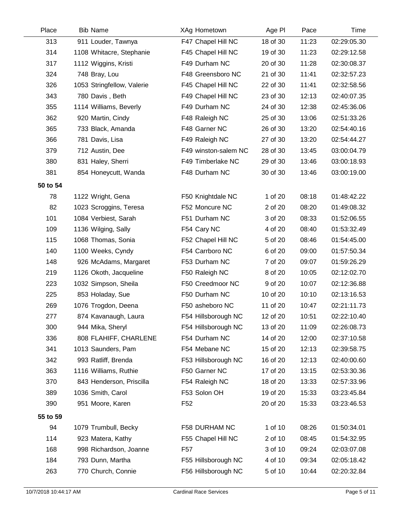| Place    | <b>Bib Name</b>            | XAg Hometown         | Age PI   | Pace  | Time        |
|----------|----------------------------|----------------------|----------|-------|-------------|
| 313      | 911 Louder, Tawnya         | F47 Chapel Hill NC   | 18 of 30 | 11:23 | 02:29:05.30 |
| 314      | 1108 Whitacre, Stephanie   | F45 Chapel Hill NC   | 19 of 30 | 11:23 | 02:29:12.58 |
| 317      | 1112 Wiggins, Kristi       | F49 Durham NC        | 20 of 30 | 11:28 | 02:30:08.37 |
| 324      | 748 Bray, Lou              | F48 Greensboro NC    | 21 of 30 | 11:41 | 02:32:57.23 |
| 326      | 1053 Stringfellow, Valerie | F45 Chapel Hill NC   | 22 of 30 | 11:41 | 02:32:58.56 |
| 343      | 780 Davis, Beth            | F49 Chapel Hill NC   | 23 of 30 | 12:13 | 02:40:07.35 |
| 355      | 1114 Williams, Beverly     | F49 Durham NC        | 24 of 30 | 12:38 | 02:45:36.06 |
| 362      | 920 Martin, Cindy          | F48 Raleigh NC       | 25 of 30 | 13:06 | 02:51:33.26 |
| 365      | 733 Black, Amanda          | F48 Garner NC        | 26 of 30 | 13:20 | 02:54:40.16 |
| 366      | 781 Davis, Lisa            | F49 Raleigh NC       | 27 of 30 | 13:20 | 02:54:44.27 |
| 379      | 712 Austin, Dee            | F49 winston-salem NC | 28 of 30 | 13:45 | 03:00:04.79 |
| 380      | 831 Haley, Sherri          | F49 Timberlake NC    | 29 of 30 | 13:46 | 03:00:18.93 |
| 381      | 854 Honeycutt, Wanda       | F48 Durham NC        | 30 of 30 | 13:46 | 03:00:19.00 |
| 50 to 54 |                            |                      |          |       |             |
| 78       | 1122 Wright, Gena          | F50 Knightdale NC    | 1 of 20  | 08:18 | 01:48:42.22 |
| 82       | 1023 Scroggins, Teresa     | F52 Moncure NC       | 2 of 20  | 08:20 | 01:49:08.32 |
| 101      | 1084 Verbiest, Sarah       | F51 Durham NC        | 3 of 20  | 08:33 | 01:52:06.55 |
| 109      | 1136 Wilging, Sally        | F54 Cary NC          | 4 of 20  | 08:40 | 01:53:32.49 |
| 115      | 1068 Thomas, Sonia         | F52 Chapel Hill NC   | 5 of 20  | 08:46 | 01:54:45.00 |
| 140      | 1100 Weeks, Cyndy          | F54 Carrboro NC      | 6 of 20  | 09:00 | 01:57:50.34 |
| 148      | 926 McAdams, Margaret      | F53 Durham NC        | 7 of 20  | 09:07 | 01:59:26.29 |
| 219      | 1126 Okoth, Jacqueline     | F50 Raleigh NC       | 8 of 20  | 10:05 | 02:12:02.70 |
| 223      | 1032 Simpson, Sheila       | F50 Creedmoor NC     | 9 of 20  | 10:07 | 02:12:36.88 |
| 225      | 853 Holaday, Sue           | F50 Durham NC        | 10 of 20 | 10:10 | 02:13:16.53 |
| 269      | 1076 Trogdon, Deena        | F50 asheboro NC      | 11 of 20 | 10:47 | 02:21:11.73 |
| 277      | 874 Kavanaugh, Laura       | F54 Hillsborough NC  | 12 of 20 | 10:51 | 02:22:10.40 |
| 300      | 944 Mika, Sheryl           | F54 Hillsborough NC  | 13 of 20 | 11:09 | 02:26:08.73 |
| 336      | 808 FLAHIFF, CHARLENE      | F54 Durham NC        | 14 of 20 | 12:00 | 02:37:10.58 |
| 341      | 1013 Saunders, Pam         | F54 Mebane NC        | 15 of 20 | 12:13 | 02:39:58.75 |
| 342      | 993 Ratliff, Brenda        | F53 Hillsborough NC  | 16 of 20 | 12:13 | 02:40:00.60 |
| 363      | 1116 Williams, Ruthie      | F50 Garner NC        | 17 of 20 | 13:15 | 02:53:30.36 |
| 370      | 843 Henderson, Priscilla   | F54 Raleigh NC       | 18 of 20 | 13:33 | 02:57:33.96 |
| 389      | 1036 Smith, Carol          | F53 Solon OH         | 19 of 20 | 15:33 | 03:23:45.84 |
| 390      | 951 Moore, Karen           | F <sub>52</sub>      | 20 of 20 | 15:33 | 03:23:46.53 |
| 55 to 59 |                            |                      |          |       |             |
| 94       | 1079 Trumbull, Becky       | F58 DURHAM NC        | 1 of 10  | 08:26 | 01:50:34.01 |
| 114      | 923 Matera, Kathy          | F55 Chapel Hill NC   | 2 of 10  | 08:45 | 01:54:32.95 |
| 168      | 998 Richardson, Joanne     | F <sub>57</sub>      | 3 of 10  | 09:24 | 02:03:07.08 |
| 184      | 793 Dunn, Martha           | F55 Hillsborough NC  | 4 of 10  | 09:34 | 02:05:18.42 |
| 263      | 770 Church, Connie         | F56 Hillsborough NC  | 5 of 10  | 10:44 | 02:20:32.84 |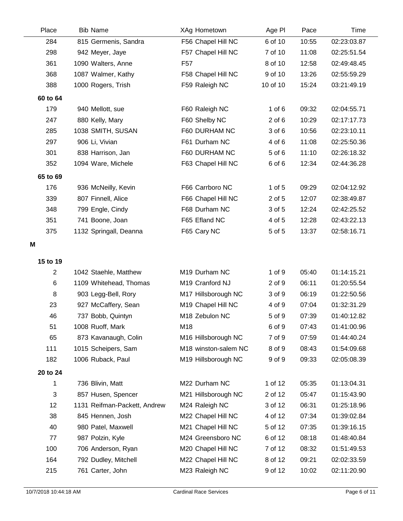| Place          | <b>Bib Name</b>              | XAg Hometown         | Age PI     | Pace  | Time        |
|----------------|------------------------------|----------------------|------------|-------|-------------|
| 284            | 815 Germenis, Sandra         | F56 Chapel Hill NC   | 6 of 10    | 10:55 | 02:23:03.87 |
| 298            | 942 Meyer, Jaye              | F57 Chapel Hill NC   | 7 of 10    | 11:08 | 02:25:51.54 |
| 361            | 1090 Walters, Anne           | F <sub>57</sub>      | 8 of 10    | 12:58 | 02:49:48.45 |
| 368            | 1087 Walmer, Kathy           | F58 Chapel Hill NC   | 9 of 10    | 13:26 | 02:55:59.29 |
| 388            | 1000 Rogers, Trish           | F59 Raleigh NC       | 10 of 10   | 15:24 | 03:21:49.19 |
| 60 to 64       |                              |                      |            |       |             |
| 179            | 940 Mellott, sue             | F60 Raleigh NC       | $1$ of $6$ | 09:32 | 02:04:55.71 |
| 247            | 880 Kelly, Mary              | F60 Shelby NC        | $2$ of $6$ | 10:29 | 02:17:17.73 |
| 285            | 1038 SMITH, SUSAN            | F60 DURHAM NC        | 3 of 6     | 10:56 | 02:23:10.11 |
| 297            | 906 Li, Vivian               | F61 Durham NC        | 4 of 6     | 11:08 | 02:25:50.36 |
| 301            | 838 Harrison, Jan            | F60 DURHAM NC        | 5 of 6     | 11:10 | 02:26:18.32 |
| 352            | 1094 Ware, Michele           | F63 Chapel Hill NC   | 6 of 6     | 12:34 | 02:44:36.28 |
| 65 to 69       |                              |                      |            |       |             |
| 176            | 936 McNeilly, Kevin          | F66 Carrboro NC      | $1$ of $5$ | 09:29 | 02:04:12.92 |
| 339            | 807 Finnell, Alice           | F66 Chapel Hill NC   | 2 of 5     | 12:07 | 02:38:49.87 |
| 348            | 799 Engle, Cindy             | F68 Durham NC        | 3 of 5     | 12:24 | 02:42:25.52 |
| 351            | 741 Boone, Joan              | F65 Efland NC        | 4 of 5     | 12:28 | 02:43:22.13 |
| 375            | 1132 Springall, Deanna       | F65 Cary NC          | 5 of 5     | 13:37 | 02:58:16.71 |
| M              |                              |                      |            |       |             |
| 15 to 19       |                              |                      |            |       |             |
| $\overline{2}$ | 1042 Staehle, Matthew        | M19 Durham NC        | 1 of 9     | 05:40 | 01:14:15.21 |
| 6              | 1109 Whitehead, Thomas       | M19 Cranford NJ      | 2 of 9     | 06:11 | 01:20:55.54 |
| 8              | 903 Legg-Bell, Rory          | M17 Hillsborough NC  | 3 of 9     | 06:19 | 01:22:50.56 |
| 23             | 927 McCaffery, Sean          | M19 Chapel Hill NC   | 4 of 9     | 07:04 | 01:32:31.29 |
| 46             | 737 Bobb, Quintyn            | M18 Zebulon NC       | 5 of 9     | 07:39 | 01:40:12.82 |
| 51             | 1008 Ruoff, Mark             | M18                  | 6 of 9     | 07:43 | 01:41:00.96 |
| 65             | 873 Kavanaugh, Colin         | M16 Hillsborough NC  | 7 of 9     | 07:59 | 01:44:40.24 |
| 111            | 1015 Scheipers, Sam          | M18 winston-salem NC | 8 of 9     | 08:43 | 01:54:09.68 |
| 182            | 1006 Ruback, Paul            | M19 Hillsborough NC  | 9 of 9     | 09:33 | 02:05:08.39 |
| 20 to 24       |                              |                      |            |       |             |
| 1              | 736 Blivin, Matt             | M22 Durham NC        | 1 of 12    | 05:35 | 01:13:04.31 |
| 3              | 857 Husen, Spencer           | M21 Hillsborough NC  | 2 of 12    | 05:47 | 01:15:43.90 |
| 12             | 1131 Reifman-Packett, Andrew | M24 Raleigh NC       | 3 of 12    | 06:31 | 01:25:18.96 |
| 38             | 845 Hennen, Josh             | M22 Chapel Hill NC   | 4 of 12    | 07:34 | 01:39:02.84 |
| 40             | 980 Patel, Maxwell           | M21 Chapel Hill NC   | 5 of 12    | 07:35 | 01:39:16.15 |
| 77             | 987 Polzin, Kyle             | M24 Greensboro NC    | 6 of 12    | 08:18 | 01:48:40.84 |
| 100            | 706 Anderson, Ryan           | M20 Chapel Hill NC   | 7 of 12    | 08:32 | 01:51:49.53 |
| 164            | 792 Dudley, Mitchell         | M22 Chapel Hill NC   | 8 of 12    | 09:21 | 02:02:33.59 |
| 215            | 761 Carter, John             | M23 Raleigh NC       | 9 of 12    | 10:02 | 02:11:20.90 |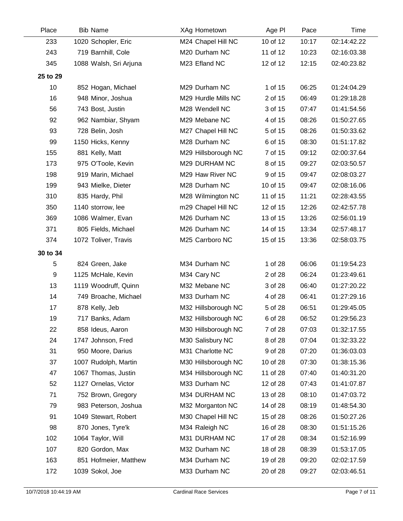| Place    | <b>Bib Name</b>        | XAg Hometown        | Age PI   | Pace  | Time        |
|----------|------------------------|---------------------|----------|-------|-------------|
| 233      | 1020 Schopler, Eric    | M24 Chapel Hill NC  | 10 of 12 | 10:17 | 02:14:42.22 |
| 243      | 719 Barnhill, Cole     | M20 Durham NC       | 11 of 12 | 10:23 | 02:16:03.38 |
| 345      | 1088 Walsh, Sri Arjuna | M23 Efland NC       | 12 of 12 | 12:15 | 02:40:23.82 |
| 25 to 29 |                        |                     |          |       |             |
| 10       | 852 Hogan, Michael     | M29 Durham NC       | 1 of 15  | 06:25 | 01:24:04.29 |
| 16       | 948 Minor, Joshua      | M29 Hurdle Mills NC | 2 of 15  | 06:49 | 01:29:18.28 |
| 56       | 743 Bost, Justin       | M28 Wendell NC      | 3 of 15  | 07:47 | 01:41:54.56 |
| 92       | 962 Nambiar, Shyam     | M29 Mebane NC       | 4 of 15  | 08:26 | 01:50:27.65 |
| 93       | 728 Belin, Josh        | M27 Chapel Hill NC  | 5 of 15  | 08:26 | 01:50:33.62 |
| 99       | 1150 Hicks, Kenny      | M28 Durham NC       | 6 of 15  | 08:30 | 01:51:17.82 |
| 155      | 881 Kelly, Matt        | M29 Hillsborough NC | 7 of 15  | 09:12 | 02:00:37.64 |
| 173      | 975 O'Toole, Kevin     | M29 DURHAM NC       | 8 of 15  | 09:27 | 02:03:50.57 |
| 198      | 919 Marin, Michael     | M29 Haw River NC    | 9 of 15  | 09:47 | 02:08:03.27 |
| 199      | 943 Mielke, Dieter     | M28 Durham NC       | 10 of 15 | 09:47 | 02:08:16.06 |
| 310      | 835 Hardy, Phil        | M28 Wilmington NC   | 11 of 15 | 11:21 | 02:28:43.55 |
| 350      | 1140 storrow, lee      | m29 Chapel Hill NC  | 12 of 15 | 12:26 | 02:42:57.78 |
| 369      | 1086 Walmer, Evan      | M26 Durham NC       | 13 of 15 | 13:26 | 02:56:01.19 |
| 371      | 805 Fields, Michael    | M26 Durham NC       | 14 of 15 | 13:34 | 02:57:48.17 |
| 374      | 1072 Toliver, Travis   | M25 Carrboro NC     | 15 of 15 | 13:36 | 02:58:03.75 |
| 30 to 34 |                        |                     |          |       |             |
| 5        | 824 Green, Jake        | M34 Durham NC       | 1 of 28  | 06:06 | 01:19:54.23 |
| 9        | 1125 McHale, Kevin     | M34 Cary NC         | 2 of 28  | 06:24 | 01:23:49.61 |
| 13       | 1119 Woodruff, Quinn   | M32 Mebane NC       | 3 of 28  | 06:40 | 01:27:20.22 |
| 14       | 749 Broache, Michael   | M33 Durham NC       | 4 of 28  | 06:41 | 01:27:29.16 |
| 17       | 878 Kelly, Jeb         | M32 Hillsborough NC | 5 of 28  | 06:51 | 01:29:45.05 |
| 19       | 717 Banks, Adam        | M32 Hillsborough NC | 6 of 28  | 06:52 | 01:29:56.23 |
| 22       | 858 Ideus, Aaron       | M30 Hillsborough NC | 7 of 28  | 07:03 | 01:32:17.55 |
| 24       | 1747 Johnson, Fred     | M30 Salisbury NC    | 8 of 28  | 07:04 | 01:32:33.22 |
| 31       | 950 Moore, Darius      | M31 Charlotte NC    | 9 of 28  | 07:20 | 01:36:03.03 |
| 37       | 1007 Rudolph, Martin   | M30 Hillsborough NC | 10 of 28 | 07:30 | 01:38:15.36 |
| 47       | 1067 Thomas, Justin    | M34 Hillsborough NC | 11 of 28 | 07:40 | 01:40:31.20 |
| 52       | 1127 Ornelas, Victor   | M33 Durham NC       | 12 of 28 | 07:43 | 01:41:07.87 |
| 71       | 752 Brown, Gregory     | M34 DURHAM NC       | 13 of 28 | 08:10 | 01:47:03.72 |
| 79       | 983 Peterson, Joshua   | M32 Morganton NC    | 14 of 28 | 08:19 | 01:48:54.30 |
| 91       | 1049 Stewart, Robert   | M30 Chapel Hill NC  | 15 of 28 | 08:26 | 01:50:27.26 |
| 98       | 870 Jones, Tyre'k      | M34 Raleigh NC      | 16 of 28 | 08:30 | 01:51:15.26 |
| 102      | 1064 Taylor, Will      | M31 DURHAM NC       | 17 of 28 | 08:34 | 01:52:16.99 |
| 107      | 820 Gordon, Max        | M32 Durham NC       | 18 of 28 | 08:39 | 01:53:17.05 |
| 163      | 851 Hofmeier, Matthew  | M34 Durham NC       | 19 of 28 | 09:20 | 02:02:17.59 |
| 172      | 1039 Sokol, Joe        | M33 Durham NC       | 20 of 28 | 09:27 | 02:03:46.51 |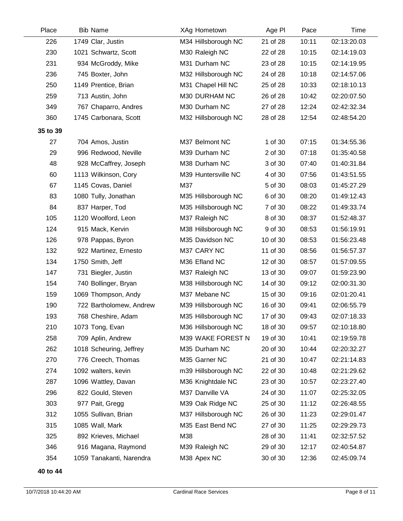| Place    | <b>Bib Name</b>          | XAg Hometown        | Age PI   | Pace  | Time        |
|----------|--------------------------|---------------------|----------|-------|-------------|
| 226      | 1749 Clar, Justin        | M34 Hillsborough NC | 21 of 28 | 10:11 | 02:13:20.03 |
| 230      | 1021 Schwartz, Scott     | M30 Raleigh NC      | 22 of 28 | 10:15 | 02:14:19.03 |
| 231      | 934 McGroddy, Mike       | M31 Durham NC       | 23 of 28 | 10:15 | 02:14:19.95 |
| 236      | 745 Boxter, John         | M32 Hillsborough NC | 24 of 28 | 10:18 | 02:14:57.06 |
| 250      | 1149 Prentice, Brian     | M31 Chapel Hill NC  | 25 of 28 | 10:33 | 02:18:10.13 |
| 259      | 713 Austin, John         | M30 DURHAM NC       | 26 of 28 | 10:42 | 02:20:07.50 |
| 349      | 767 Chaparro, Andres     | M30 Durham NC       | 27 of 28 | 12:24 | 02:42:32.34 |
| 360      | 1745 Carbonara, Scott    | M32 Hillsborough NC | 28 of 28 | 12:54 | 02:48:54.20 |
| 35 to 39 |                          |                     |          |       |             |
| 27       | 704 Amos, Justin         | M37 Belmont NC      | 1 of 30  | 07:15 | 01:34:55.36 |
| 29       | 996 Redwood, Neville     | M39 Durham NC       | 2 of 30  | 07:18 | 01:35:40.58 |
| 48       | 928 McCaffrey, Joseph    | M38 Durham NC       | 3 of 30  | 07:40 | 01:40:31.84 |
| 60       | 1113 Wilkinson, Cory     | M39 Huntersville NC | 4 of 30  | 07:56 | 01:43:51.55 |
| 67       | 1145 Covas, Daniel       | M37                 | 5 of 30  | 08:03 | 01:45:27.29 |
| 83       | 1080 Tully, Jonathan     | M35 Hillsborough NC | 6 of 30  | 08:20 | 01:49:12.43 |
| 84       | 837 Harper, Tod          | M35 Hillsborough NC | 7 of 30  | 08:22 | 01:49:33.74 |
| 105      | 1120 Woolford, Leon      | M37 Raleigh NC      | 8 of 30  | 08:37 | 01:52:48.37 |
| 124      | 915 Mack, Kervin         | M38 Hillsborough NC | 9 of 30  | 08:53 | 01:56:19.91 |
| 126      | 978 Pappas, Byron        | M35 Davidson NC     | 10 of 30 | 08:53 | 01:56:23.48 |
| 132      | 922 Martinez, Ernesto    | M37 CARY NC         | 11 of 30 | 08:56 | 01:56:57.37 |
| 134      | 1750 Smith, Jeff         | M36 Efland NC       | 12 of 30 | 08:57 | 01:57:09.55 |
| 147      | 731 Biegler, Justin      | M37 Raleigh NC      | 13 of 30 | 09:07 | 01:59:23.90 |
| 154      | 740 Bollinger, Bryan     | M38 Hillsborough NC | 14 of 30 | 09:12 | 02:00:31.30 |
| 159      | 1069 Thompson, Andy      | M37 Mebane NC       | 15 of 30 | 09:16 | 02:01:20.41 |
| 190      | 722 Bartholomew, Andrew  | M39 Hillsborough NC | 16 of 30 | 09:41 | 02:06:55.79 |
| 193      | 768 Cheshire, Adam       | M35 Hillsborough NC | 17 of 30 | 09:43 | 02:07:18.33 |
| 210      | 1073 Tong, Evan          | M36 Hillsborough NC | 18 of 30 | 09:57 | 02:10:18.80 |
| 258      | 709 Aplin, Andrew        | M39 WAKE FOREST N   | 19 of 30 | 10:41 | 02:19:59.78 |
| 262      | 1018 Scheuring, Jeffrey  | M35 Durham NC       | 20 of 30 | 10:44 | 02:20:32.27 |
| 270      | 776 Creech, Thomas       | M35 Garner NC       | 21 of 30 | 10:47 | 02:21:14.83 |
| 274      | 1092 walters, kevin      | m39 Hillsborough NC | 22 of 30 | 10:48 | 02:21:29.62 |
| 287      | 1096 Wattley, Davan      | M36 Knightdale NC   | 23 of 30 | 10:57 | 02:23:27.40 |
| 296      | 822 Gould, Steven        | M37 Danville VA     | 24 of 30 | 11:07 | 02:25:32.05 |
| 303      | 977 Pait, Gregg          | M39 Oak Ridge NC    | 25 of 30 | 11:12 | 02:26:48.55 |
| 312      | 1055 Sullivan, Brian     | M37 Hillsborough NC | 26 of 30 | 11:23 | 02:29:01.47 |
| 315      | 1085 Wall, Mark          | M35 East Bend NC    | 27 of 30 | 11:25 | 02:29:29.73 |
| 325      | 892 Krieves, Michael     | M38                 | 28 of 30 | 11:41 | 02:32:57.52 |
| 346      | 916 Magana, Raymond      | M39 Raleigh NC      | 29 of 30 | 12:17 | 02:40:54.87 |
| 354      | 1059 Tanakanti, Narendra | M38 Apex NC         | 30 of 30 | 12:36 | 02:45:09.74 |

**40 to 44**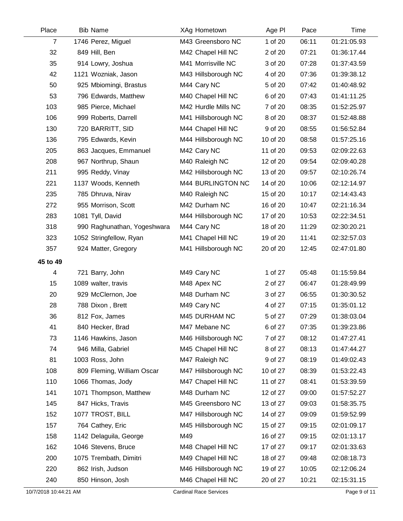| Place          | <b>Bib Name</b>             | XAg Hometown        | Age PI   | Pace  | Time        |
|----------------|-----------------------------|---------------------|----------|-------|-------------|
| $\overline{7}$ | 1746 Perez, Miguel          | M43 Greensboro NC   | 1 of 20  | 06:11 | 01:21:05.93 |
| 32             | 849 Hill, Ben               | M42 Chapel Hill NC  | 2 of 20  | 07:21 | 01:36:17.44 |
| 35             | 914 Lowry, Joshua           | M41 Morrisville NC  | 3 of 20  | 07:28 | 01:37:43.59 |
| 42             | 1121 Wozniak, Jason         | M43 Hillsborough NC | 4 of 20  | 07:36 | 01:39:38.12 |
| 50             | 925 Mbiomingi, Brastus      | M44 Cary NC         | 5 of 20  | 07:42 | 01:40:48.92 |
| 53             | 796 Edwards, Matthew        | M40 Chapel Hill NC  | 6 of 20  | 07:43 | 01:41:11.25 |
| 103            | 985 Pierce, Michael         | M42 Hurdle Mills NC | 7 of 20  | 08:35 | 01:52:25.97 |
| 106            | 999 Roberts, Darrell        | M41 Hillsborough NC | 8 of 20  | 08:37 | 01:52:48.88 |
| 130            | 720 BARRITT, SID            | M44 Chapel Hill NC  | 9 of 20  | 08:55 | 01:56:52.84 |
| 136            | 795 Edwards, Kevin          | M44 Hillsborough NC | 10 of 20 | 08:58 | 01:57:25.16 |
| 205            | 863 Jacques, Emmanuel       | M42 Cary NC         | 11 of 20 | 09:53 | 02:09:22.63 |
| 208            | 967 Northrup, Shaun         | M40 Raleigh NC      | 12 of 20 | 09:54 | 02:09:40.28 |
| 211            | 995 Reddy, Vinay            | M42 Hillsborough NC | 13 of 20 | 09:57 | 02:10:26.74 |
| 221            | 1137 Woods, Kenneth         | M44 BURLINGTON NC   | 14 of 20 | 10:06 | 02:12:14.97 |
| 235            | 785 Dhruva, Nirav           | M40 Raleigh NC      | 15 of 20 | 10:17 | 02:14:43.43 |
| 272            | 955 Morrison, Scott         | M42 Durham NC       | 16 of 20 | 10:47 | 02:21:16.34 |
| 283            | 1081 Tyll, David            | M44 Hillsborough NC | 17 of 20 | 10:53 | 02:22:34.51 |
| 318            | 990 Raghunathan, Yogeshwara | M44 Cary NC         | 18 of 20 | 11:29 | 02:30:20.21 |
| 323            | 1052 Stringfellow, Ryan     | M41 Chapel Hill NC  | 19 of 20 | 11:41 | 02:32:57.03 |
| 357            | 924 Matter, Gregory         | M41 Hillsborough NC | 20 of 20 | 12:45 | 02:47:01.80 |
| 45 to 49       |                             |                     |          |       |             |
| 4              | 721 Barry, John             | M49 Cary NC         | 1 of 27  | 05:48 | 01:15:59.84 |
| 15             | 1089 walter, travis         | M48 Apex NC         | 2 of 27  | 06:47 | 01:28:49.99 |
| 20             | 929 McClernon, Joe          | M48 Durham NC       | 3 of 27  | 06:55 | 01:30:30.52 |
|                |                             |                     |          |       |             |
| 28             | 788 Dixon, Brett            | M49 Cary NC         | 4 of 27  | 07:15 | 01:35:01.12 |
| 36             | 812 Fox, James              | M45 DURHAM NC       | 5 of 27  | 07:29 | 01:38:03.04 |
| 41             | 840 Hecker, Brad            | M47 Mebane NC       | 6 of 27  | 07:35 | 01:39:23.86 |
| 73             | 1146 Hawkins, Jason         | M46 Hillsborough NC | 7 of 27  | 08:12 | 01:47:27.41 |
| 74             | 946 Milla, Gabriel          | M45 Chapel Hill NC  | 8 of 27  | 08:13 | 01:47:44.27 |
| 81             | 1003 Ross, John             | M47 Raleigh NC      | 9 of 27  | 08:19 | 01:49:02.43 |
| 108            | 809 Fleming, William Oscar  | M47 Hillsborough NC | 10 of 27 | 08:39 | 01:53:22.43 |
| 110            | 1066 Thomas, Jody           | M47 Chapel Hill NC  | 11 of 27 | 08:41 | 01:53:39.59 |
| 141            | 1071 Thompson, Matthew      | M48 Durham NC       | 12 of 27 | 09:00 | 01:57:52.27 |
| 145            | 847 Hicks, Travis           | M45 Greensboro NC   | 13 of 27 | 09:03 | 01:58:35.75 |
| 152            | 1077 TROST, BILL            | M47 Hillsborough NC | 14 of 27 | 09:09 | 01:59:52.99 |
| 157            | 764 Cathey, Eric            | M45 Hillsborough NC | 15 of 27 | 09:15 | 02:01:09.17 |
| 158            | 1142 Delaguila, George      | M49                 | 16 of 27 | 09:15 | 02:01:13.17 |
| 162            | 1046 Stevens, Bruce         | M48 Chapel Hill NC  | 17 of 27 | 09:17 | 02:01:33.63 |
| 200            | 1075 Trembath, Dimitri      | M49 Chapel Hill NC  | 18 of 27 | 09:48 | 02:08:18.73 |
| 220            | 862 Irish, Judson           | M46 Hillsborough NC | 19 of 27 | 10:05 | 02:12:06.24 |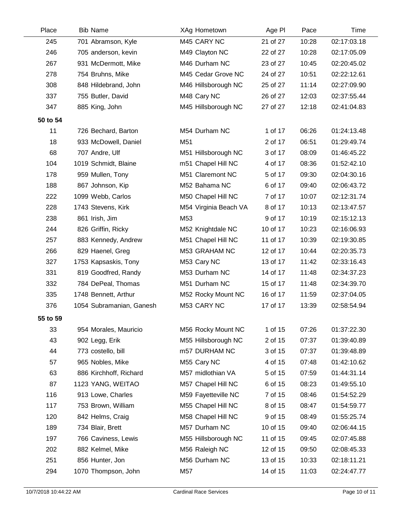| Place    | <b>Bib Name</b>          | XAg Hometown          | Age PI   | Pace  | Time        |
|----------|--------------------------|-----------------------|----------|-------|-------------|
| 245      | 701 Abramson, Kyle       | M45 CARY NC           | 21 of 27 | 10:28 | 02:17:03.18 |
| 246      | 705 anderson, kevin      | M49 Clayton NC        | 22 of 27 | 10:28 | 02:17:05.09 |
| 267      | 931 McDermott, Mike      | M46 Durham NC         | 23 of 27 | 10:45 | 02:20:45.02 |
| 278      | 754 Bruhns, Mike         | M45 Cedar Grove NC    | 24 of 27 | 10:51 | 02:22:12.61 |
| 308      | 848 Hildebrand, John     | M46 Hillsborough NC   | 25 of 27 | 11:14 | 02:27:09.90 |
| 337      | 755 Butler, David        | M48 Cary NC           | 26 of 27 | 12:03 | 02:37:55.44 |
| 347      | 885 King, John           | M45 Hillsborough NC   | 27 of 27 | 12:18 | 02:41:04.83 |
| 50 to 54 |                          |                       |          |       |             |
| 11       | 726 Bechard, Barton      | M54 Durham NC         | 1 of 17  | 06:26 | 01:24:13.48 |
| 18       | 933 McDowell, Daniel     | M51                   | 2 of 17  | 06:51 | 01:29:49.74 |
| 68       | 707 Andre, Ulf           | M51 Hillsborough NC   | 3 of 17  | 08:09 | 01:46:45.22 |
| 104      | 1019 Schmidt, Blaine     | m51 Chapel Hill NC    | 4 of 17  | 08:36 | 01:52:42.10 |
| 178      | 959 Mullen, Tony         | M51 Claremont NC      | 5 of 17  | 09:30 | 02:04:30.16 |
| 188      | 867 Johnson, Kip         | M52 Bahama NC         | 6 of 17  | 09:40 | 02:06:43.72 |
| 222      | 1099 Webb, Carlos        | M50 Chapel Hill NC    | 7 of 17  | 10:07 | 02:12:31.74 |
| 228      | 1743 Stevens, Kirk       | M54 Virginia Beach VA | 8 of 17  | 10:13 | 02:13:47.57 |
| 238      | 861 Irish, Jim           | M53                   | 9 of 17  | 10:19 | 02:15:12.13 |
| 244      | 826 Griffin, Ricky       | M52 Knightdale NC     | 10 of 17 | 10:23 | 02:16:06.93 |
| 257      | 883 Kennedy, Andrew      | M51 Chapel Hill NC    | 11 of 17 | 10:39 | 02:19:30.85 |
| 266      | 829 Haenel, Greg         | M53 GRAHAM NC         | 12 of 17 | 10:44 | 02:20:35.73 |
| 327      | 1753 Kapsaskis, Tony     | M53 Cary NC           | 13 of 17 | 11:42 | 02:33:16.43 |
| 331      | 819 Goodfred, Randy      | M53 Durham NC         | 14 of 17 | 11:48 | 02:34:37.23 |
| 332      | 784 DePeal, Thomas       | M51 Durham NC         | 15 of 17 | 11:48 | 02:34:39.70 |
| 335      | 1748 Bennett, Arthur     | M52 Rocky Mount NC    | 16 of 17 | 11:59 | 02:37:04.05 |
| 376      | 1054 Subramanian, Ganesh | M53 CARY NC           | 17 of 17 | 13:39 | 02:58:54.94 |
| 55 to 59 |                          |                       |          |       |             |
| 33       | 954 Morales, Mauricio    | M56 Rocky Mount NC    | 1 of 15  | 07:26 | 01:37:22.30 |
| 43       | 902 Legg, Erik           | M55 Hillsborough NC   | 2 of 15  | 07:37 | 01:39:40.89 |
| 44       | 773 costello, bill       | m57 DURHAM NC         | 3 of 15  | 07:37 | 01:39:48.89 |
| 57       | 965 Nobles, Mike         | M55 Cary NC           | 4 of 15  | 07:48 | 01:42:10.62 |
| 63       | 886 Kirchhoff, Richard   | M57 midlothian VA     | 5 of 15  | 07:59 | 01:44:31.14 |
| 87       | 1123 YANG, WEITAO        | M57 Chapel Hill NC    | 6 of 15  | 08:23 | 01:49:55.10 |
| 116      | 913 Lowe, Charles        | M59 Fayetteville NC   | 7 of 15  | 08:46 | 01:54:52.29 |
| 117      | 753 Brown, William       | M55 Chapel Hill NC    | 8 of 15  | 08:47 | 01:54:59.77 |
| 120      | 842 Helms, Craig         | M58 Chapel Hill NC    | 9 of 15  | 08:49 | 01:55:25.74 |
| 189      | 734 Blair, Brett         | M57 Durham NC         | 10 of 15 | 09:40 | 02:06:44.15 |
| 197      | 766 Caviness, Lewis      | M55 Hillsborough NC   | 11 of 15 | 09:45 | 02:07:45.88 |
| 202      | 882 Kelmel, Mike         | M56 Raleigh NC        | 12 of 15 | 09:50 | 02:08:45.33 |
| 251      | 856 Hunter, Jon          | M56 Durham NC         | 13 of 15 | 10:33 | 02:18:11.21 |
| 294      | 1070 Thompson, John      | M57                   | 14 of 15 | 11:03 | 02:24:47.77 |

 $\overline{\phantom{0}}$